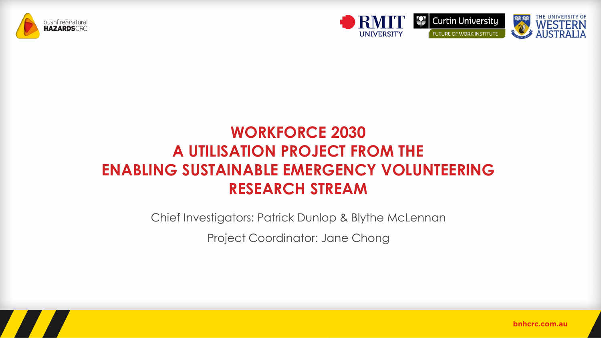



## **WORKFORCE 2030 A UTILISATION PROJECT FROM THE ENABLING SUSTAINABLE EMERGENCY VOLUNTEERING RESEARCH STREAM**

Chief Investigators: Patrick Dunlop & Blythe McLennan

Project Coordinator: Jane Chong



 $\overline{\phantom{a}}$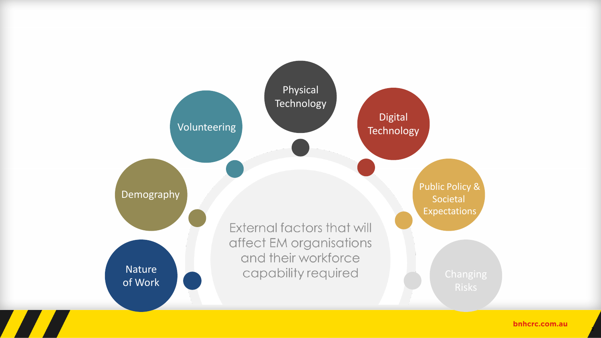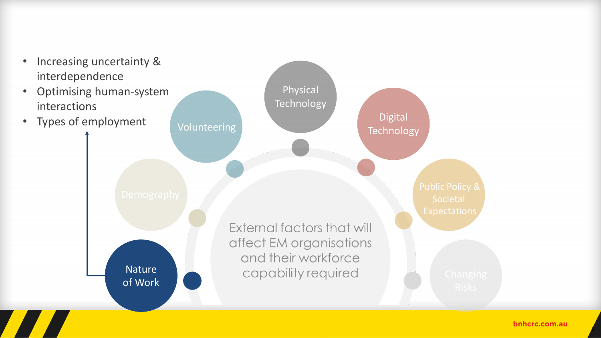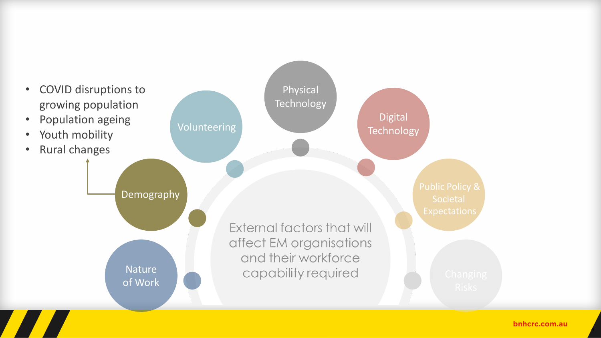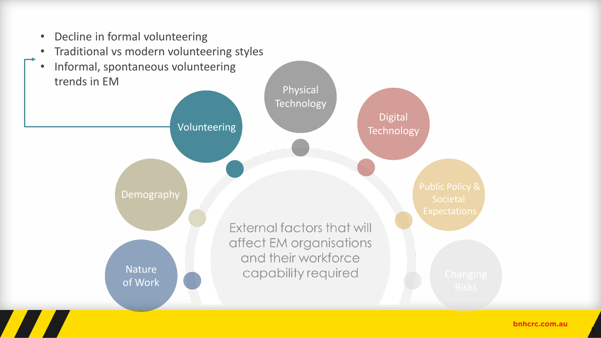

- Traditional vs modern volunteering styles
- Informal, spontaneous volunteering trends in EM

**Nature** 

Demography

of Work

Volunteering



External factors that will affect EM organisations and their workforce capability required

Physical

**Technology** 

#### bnhcrc.com.au

5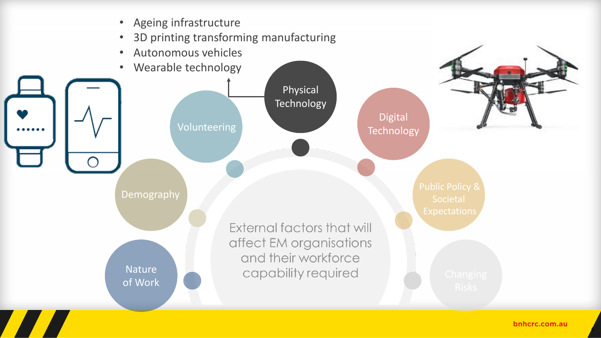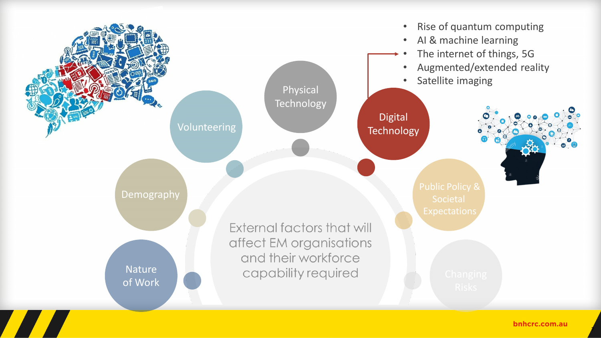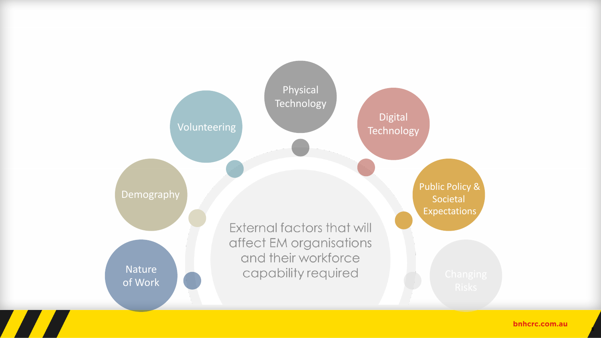

8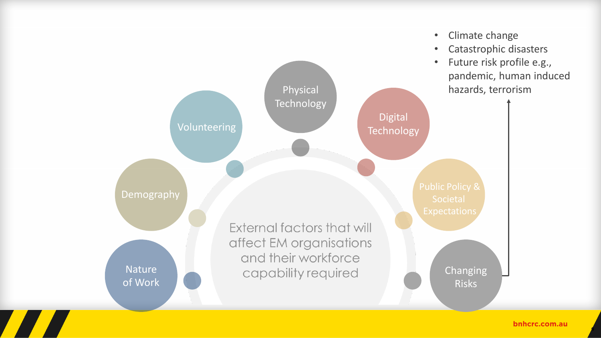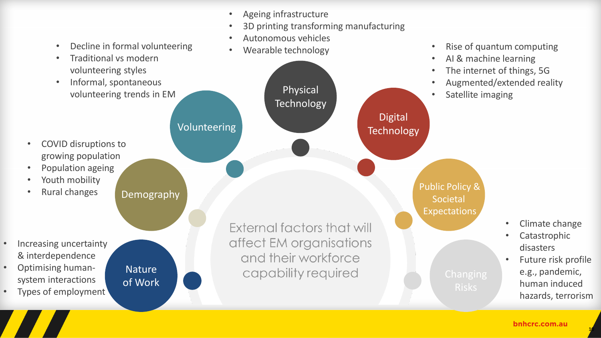- Ageing infrastructure
- 3D printing transforming manufacturing

Physical

**Technology** 

• Autonomous vehicles

• Wearable technology

- Decline in formal volunteering
- Traditional vs modern volunteering styles
- Informal, spontaneous volunteering trends in EM

- COVID disruptions to growing population
- Population ageing
- Youth mobility
- Rural changes

- Increasing uncertainty & interdependence
- Optimising humansystem interactions
- Types of employment

**Nature** of Work

Demography

Volunteering

External factors that will affect EM organisations and their workforce capability required



- AI & machine learning
- The internet of things, 5G
- Augmented/extended reality
- Satellite imaging

Public Policy & Societal

Expectations

Digital

**Technology** 

- Climate change
- **Catastrophic** disasters
- Future risk profile e.g., pandemic, human induced hazards, terrorism

 $1<sup>0</sup>$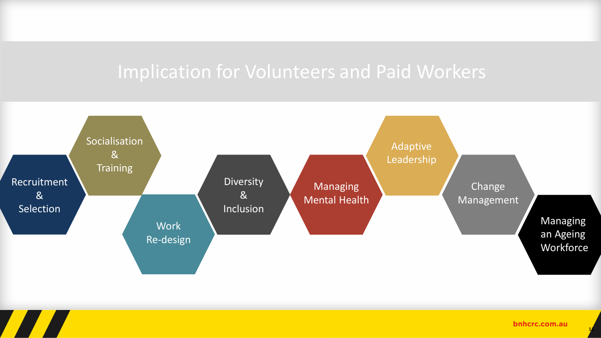# Implication for Volunteers and Paid Workers



bnhcrc.com.au

 $1/1$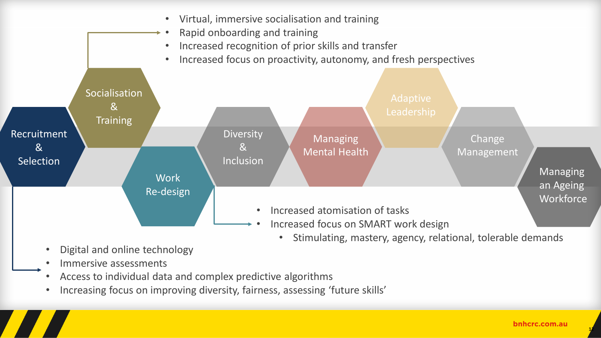

- Digital and online technology
- Immersive assessments
- Access to individual data and complex predictive algorithms
- Increasing focus on improving diversity, fairness, assessing 'future skills'

 $1/2$